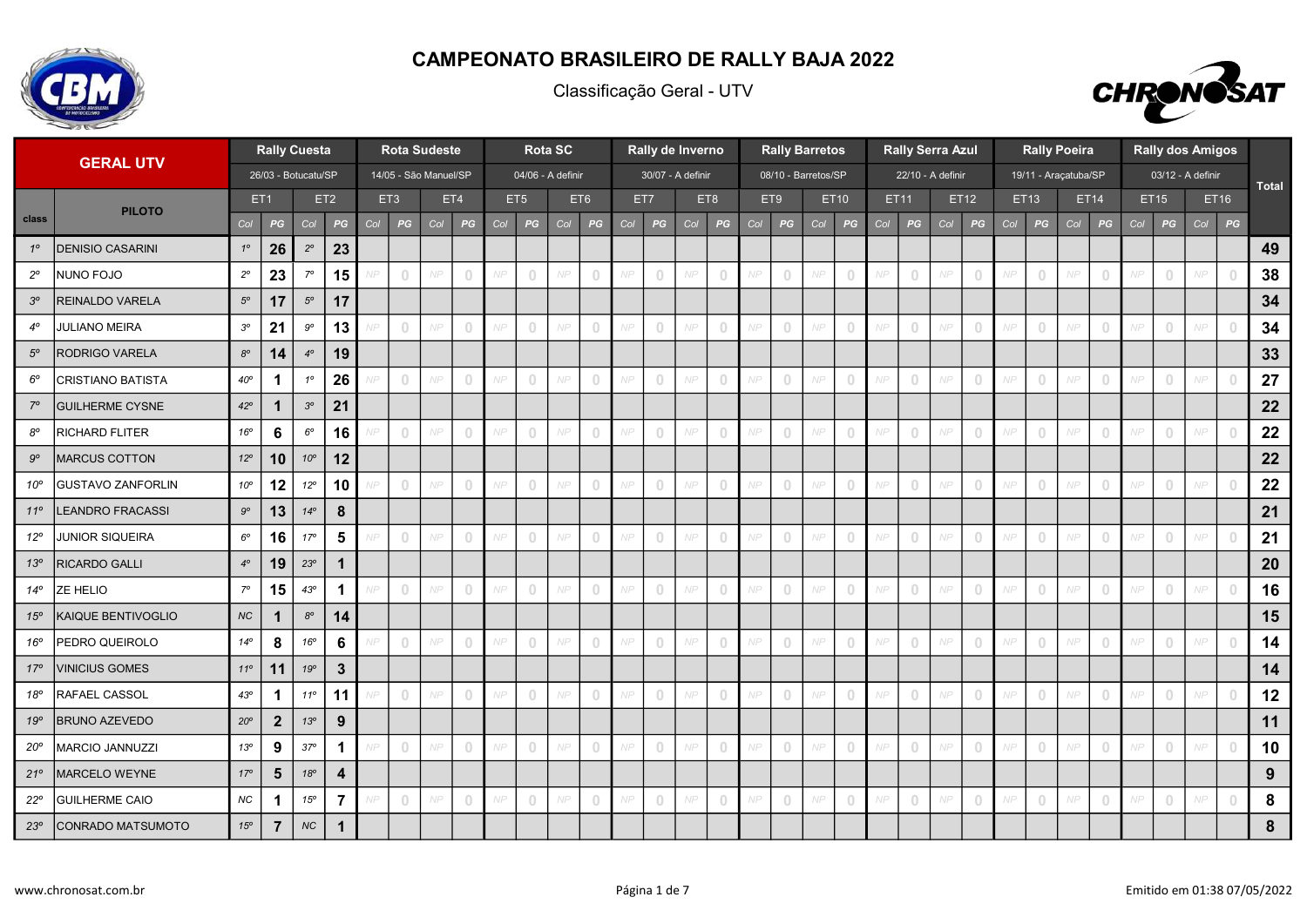

Classificação Geral - UTV



|              | <b>GERAL UTV</b>         |              | <b>Rally Cuesta</b>  |              |                         |     |                | <b>Rota Sudeste</b>   |                                       |     |                                       | <b>Rota SC</b> |                                       |     |                                       | Rally de Inverno  |                |     |                                       | <b>Rally Barretos</b> |                                       |     | <b>Rally Serra Azul</b>               |     |                |     |                                       | <b>Rally Poeira</b>  |                                       |     |                                       | <b>Rally dos Amigos</b> |                |              |
|--------------|--------------------------|--------------|----------------------|--------------|-------------------------|-----|----------------|-----------------------|---------------------------------------|-----|---------------------------------------|----------------|---------------------------------------|-----|---------------------------------------|-------------------|----------------|-----|---------------------------------------|-----------------------|---------------------------------------|-----|---------------------------------------|-----|----------------|-----|---------------------------------------|----------------------|---------------------------------------|-----|---------------------------------------|-------------------------|----------------|--------------|
|              |                          |              | 26/03 - Botucatu/SP  |              |                         |     |                | 14/05 - São Manuel/SP |                                       |     | 04/06 - A definir                     |                |                                       |     |                                       | 30/07 - A definir |                |     |                                       | 08/10 - Barretos/SP   |                                       |     | 22/10 - A definir                     |     |                |     |                                       | 19/11 - Araçatuba/SP |                                       |     |                                       | 03/12 - A definir       |                | <b>Total</b> |
|              | <b>PILOTO</b>            |              | ET1                  |              | ET <sub>2</sub>         |     | ET3            |                       | ET4                                   |     | ET5                                   |                | ET6                                   |     | ET7                                   | ET8               |                |     | ET9                                   |                       | ET10                                  |     | ET11                                  |     | ET12           |     | ET13                                  |                      | ET14                                  |     | ET15                                  |                         | ET16           |              |
| class        |                          | Col          | PG                   | Col          | PG                      | Col | PG             | Col                   | PG                                    | Col | PG                                    | Col            | PG                                    | Col | PG                                    | Col               | PG             | Col | PG                                    | Col                   | PG                                    | Col | PG                                    | Col | PG             | Col | PG                                    | Col                  | PG                                    | Col | PG                                    | Col                     | PG             |              |
| $1^{\circ}$  | <b>DENISIO CASARINI</b>  | $1^{\circ}$  | 26                   | $2^{\circ}$  | 23                      |     |                |                       |                                       |     |                                       |                |                                       |     |                                       |                   |                |     |                                       |                       |                                       |     |                                       |     |                |     |                                       |                      |                                       |     |                                       |                         |                | 49           |
| $2^{\circ}$  | NUNO FOJO                | $2^{\circ}$  | 23                   | $7^{\circ}$  | 15                      |     | $\overline{0}$ | NP                    | $\overline{0}$                        |     | $\begin{array}{c} 0 \\ 0 \end{array}$ | NP             | $\overline{0}$                        | NP  | $\circ$                               | NP                | $\overline{0}$ | NP  | $\circ$                               | NP                    | $\overline{0}$                        | NP  | $\circ$                               | NP  | $\overline{0}$ | NP  | $\overline{0}$                        | NP                   | $\overline{0}$                        | NP  | $\circ$                               | NP                      | $\overline{0}$ | 38           |
| $3^{\circ}$  | REINALDO VARELA          | $5^{\circ}$  | 17                   | $5^{\circ}$  | 17                      |     |                |                       |                                       |     |                                       |                |                                       |     |                                       |                   |                |     |                                       |                       |                                       |     |                                       |     |                |     |                                       |                      |                                       |     |                                       |                         |                | 34           |
| $4^\circ$    | <b>JULIANO MEIRA</b>     | $3^{\circ}$  | 21                   | $9^{\circ}$  | 13                      |     | $\circ$        | NP                    | $\bigcap$                             | NP  | $\begin{array}{c} 0 \\ 0 \end{array}$ | NP             | $\bigcap$                             | NP  | $\begin{array}{c} \n\end{array}$      | NP                | $\bigcap$      | NP  | $\begin{array}{c} 0 \\ 0 \end{array}$ | NP                    | $\cup$                                | NP  | $\begin{array}{c} 0 \\ 0 \end{array}$ | NP  | $\bigcap$      | NP  | $\overline{0}$                        | NP                   | $\bigcap$                             | NP  | $\begin{array}{c} 0 \\ 0 \end{array}$ | NP                      | $\cup$         | 34           |
| $5^{\circ}$  | RODRIGO VARELA           | $8^{\rm o}$  | 14                   | $4^\circ$    | 19                      |     |                |                       |                                       |     |                                       |                |                                       |     |                                       |                   |                |     |                                       |                       |                                       |     |                                       |     |                |     |                                       |                      |                                       |     |                                       |                         |                | 33           |
| $6^{\circ}$  | <b>CRISTIANO BATISTA</b> | $40^{\circ}$ | $\blacktriangleleft$ | $1^{\circ}$  | 26                      |     | $\mathbb O$    | NP                    | $\overline{0}$                        | N P | $\circ$                               | NP             | $\begin{array}{c} 0 \\ 0 \end{array}$ | NP  | $\circ$                               | NP                | $\overline{0}$ | NP  | $\begin{array}{c} 0 \\ 0 \end{array}$ | NP                    | $\circ$                               | NP  | $\circledcirc$                        | NP  | $\overline{0}$ | NP  | $\circ$                               | NP                   | $\overline{0}$                        |     | $\begin{array}{c} 0 \\ 0 \end{array}$ | NP                      | $\cup$         | 27           |
| $7^\circ$    | <b>GUILHERME CYSNE</b>   | $42^{\circ}$ | $\mathbf{1}$         | $3^{\circ}$  | 21                      |     |                |                       |                                       |     |                                       |                |                                       |     |                                       |                   |                |     |                                       |                       |                                       |     |                                       |     |                |     |                                       |                      |                                       |     |                                       |                         |                | 22           |
| $8^{\circ}$  | <b>RICHARD FLITER</b>    | 16°          | 6                    | $6^{\circ}$  | 16                      |     | $\circ$        | NP                    | $\bigcirc$                            |     | $\begin{array}{c} 0 \\ 0 \end{array}$ | NP             | $\bigcirc$                            |     | $\circ$                               | VP                | $\Box$         | NP  | $\overline{0}$                        | NP                    | $\Box$                                | NP  | $\overline{0}$                        | NP  | $\Box$         | NP  | $\cup$                                |                      | $\Omega$                              |     | $\overline{0}$                        |                         |                | 22           |
| $9^{\rm o}$  | MARCUS COTTON            | $12^{\circ}$ | 10                   | $10^{\circ}$ | 12                      |     |                |                       |                                       |     |                                       |                |                                       |     |                                       |                   |                |     |                                       |                       |                                       |     |                                       |     |                |     |                                       |                      |                                       |     |                                       |                         |                | 22           |
| $10^{\circ}$ | <b>GUSTAVO ZANFORLIN</b> | $10^{\circ}$ | 12                   | $12^{\circ}$ | 10                      |     | $\overline{0}$ | NP                    | $\overline{0}$                        | NP  | $\begin{array}{c} 0 \\ 0 \end{array}$ | NP             | $\overline{0}$                        | NP  | $\circ$                               | NP                | $\cup$         | NP  | $\circ$                               | NP                    | $\circ$                               | NP  | $\begin{array}{c} 0 \\ 0 \end{array}$ | NP  | $\overline{0}$ | NP  | $\circ$                               | NP                   | $\circ$                               | NP  | $\circ$                               | NP                      | $\overline{0}$ | 22           |
| $11^{\circ}$ | <b>EANDRO FRACASSI</b>   | $9^{\circ}$  | 13                   | $14^{\circ}$ | $\bf{8}$                |     |                |                       |                                       |     |                                       |                |                                       |     |                                       |                   |                |     |                                       |                       |                                       |     |                                       |     |                |     |                                       |                      |                                       |     |                                       |                         |                | 21           |
| $12^{\circ}$ | <b>JUNIOR SIQUEIRA</b>   | $6^{\rm o}$  | 16                   | $17^{\circ}$ | 5                       |     | $\circ$        | NP                    | $\overline{0}$                        |     | $\circ$                               | NP             | $\overline{0}$                        |     | $\overline{0}$                        | NP                | $\overline{0}$ | NP  | $\circ$                               | NP                    | $\overline{0}$                        | NP  | $\overline{0}$                        | NP  | $\overline{0}$ | NP  | $\circ$                               | NP                   | $\overline{0}$                        |     | $\begin{array}{c} 0 \\ 0 \end{array}$ | NP                      | $\cup$         | 21           |
| 13°          | <b>RICARDO GALLI</b>     | $4^\circ$    | 19                   | $23^{\circ}$ | $\mathbf{1}$            |     |                |                       |                                       |     |                                       |                |                                       |     |                                       |                   |                |     |                                       |                       |                                       |     |                                       |     |                |     |                                       |                      |                                       |     |                                       |                         |                | 20           |
| $14^{\circ}$ | <b>ZE HELIO</b>          | $7^\circ$    | 15                   | $43^{\circ}$ | $\blacktriangleleft$    |     | $\overline{0}$ | NP                    | $\overline{0}$                        | NP  | $\begin{array}{c} 0 \\ 0 \end{array}$ | NP             | $\overline{0}$                        | NP  | $\begin{array}{c} 0 \\ 0 \end{array}$ | NP                | $\overline{0}$ | NP  | $\begin{array}{c} 0 \\ 0 \end{array}$ | NP                    | $\circ$                               | NP  | $\begin{array}{c} 0 \\ 0 \end{array}$ | NP  | $\overline{0}$ | NP  | $\overline{0}$                        | NP                   | $\overline{0}$                        | NP  | $\overline{0}$                        | NP                      | $\overline{0}$ | 16           |
| 15°          | KAIQUE BENTIVOGLIO       | $N\!C$       | $\mathbf 1$          | $8^{\circ}$  | 14                      |     |                |                       |                                       |     |                                       |                |                                       |     |                                       |                   |                |     |                                       |                       |                                       |     |                                       |     |                |     |                                       |                      |                                       |     |                                       |                         |                | 15           |
| 16°          | PEDRO QUEIROLO           | $14^{\circ}$ | 8                    | 16°          | 6                       |     | $\circ$        | NP                    | $\begin{array}{c} 0 \\ 0 \end{array}$ | NP  | $\circ$                               | NP             | $\overline{0}$                        | NP  | $\begin{array}{c} 0 \\ 0 \end{array}$ | NP                | $\overline{0}$ | NP  | $\begin{array}{c} 0 \\ 0 \end{array}$ | NP                    | $\begin{array}{c} 0 \\ 0 \end{array}$ | NP  | $\circ$                               | NP  | $\overline{0}$ | NP  | $\overline{0}$                        | NP                   | $\overline{0}$                        | NP  | $\overline{0}$                        | NP                      | $\overline{0}$ | 14           |
| $17^{\circ}$ | <b>VINICIUS GOMES</b>    | $11^{\circ}$ | 11                   | $19^{\circ}$ | $\overline{3}$          |     |                |                       |                                       |     |                                       |                |                                       |     |                                       |                   |                |     |                                       |                       |                                       |     |                                       |     |                |     |                                       |                      |                                       |     |                                       |                         |                | 14           |
| 18°          | <b>RAFAEL CASSOL</b>     | $43^{\circ}$ |                      | $11^{\circ}$ | 11                      |     | $\circ$        | NP                    | $\begin{array}{c} \n\end{array}$      | N P | $\begin{array}{c} 0 \\ 0 \end{array}$ | NP             | $\bigcap$                             | NP  | $\begin{array}{c} 0 \\ 0 \end{array}$ | NP                | $\Omega$       | NP  | $\circ$                               | NP                    | $\overline{0}$                        | NP  | $\overline{0}$                        | NP  | $\Omega$       | NP  | $\begin{array}{c} 0 \\ 0 \end{array}$ | NP                   | $\Omega$                              |     | $\begin{array}{c} 0 \\ 0 \end{array}$ | NP                      | $\cup$         | 12           |
| 19°          | <b>BRUNO AZEVEDO</b>     | $20^{\circ}$ | $\overline{2}$       | $13^{\circ}$ | 9                       |     |                |                       |                                       |     |                                       |                |                                       |     |                                       |                   |                |     |                                       |                       |                                       |     |                                       |     |                |     |                                       |                      |                                       |     |                                       |                         |                | 11           |
| $20^{\circ}$ | <b>MARCIO JANNUZZI</b>   | $13^{\circ}$ | $\boldsymbol{9}$     | $37^{\circ}$ | $\mathbf 1$             |     | $\circ$        | NP                    | $\overline{0}$                        | N P | $\circledcirc$                        | NP             | $\overline{0}$                        | NP  | $\overline{0}$                        | NP                | $\overline{0}$ | NP  | $\begin{array}{c} 0 \\ 0 \end{array}$ | NP                    | $\begin{array}{c} 0 \\ 0 \end{array}$ | NP  | $\overline{0}$                        | NP  | $\overline{0}$ | NP  | $\overline{0}$                        | NP                   | $\begin{array}{c} 0 \\ 0 \end{array}$ | NP  | $\circ$                               | NP                      | $\overline{0}$ | 10           |
| $21^{\circ}$ | MARCELO WEYNE            | $17^{\circ}$ | $5\phantom{1}$       | $18^{\circ}$ | $\overline{\mathbf{4}}$ |     |                |                       |                                       |     |                                       |                |                                       |     |                                       |                   |                |     |                                       |                       |                                       |     |                                       |     |                |     |                                       |                      |                                       |     |                                       |                         |                | 9            |
| $22^{\circ}$ | <b>GUILHERME CAIO</b>    | $N\!C$       | -1                   | $15^{\circ}$ | $\overline{7}$          |     | $\circ$        | NP                    | $\Omega$                              |     | $\circ$                               | NP             | $\Omega$                              |     | $\mathbf{0}$                          | NP                | $\Omega$       | NP  | $\overline{0}$                        | NP                    | $\Omega$                              | NP  | $\circ$                               | NP  | $\overline{0}$ | NP  | $\overline{0}$                        | NP                   | $\overline{0}$                        | NP  | $\overline{0}$                        | NP                      | $\cup$         | 8            |
| 23°          | <b>CONRADO MATSUMOTO</b> | 15°          | $\overline{7}$       | NC           |                         |     |                |                       |                                       |     |                                       |                |                                       |     |                                       |                   |                |     |                                       |                       |                                       |     |                                       |     |                |     |                                       |                      |                                       |     |                                       |                         |                | 8            |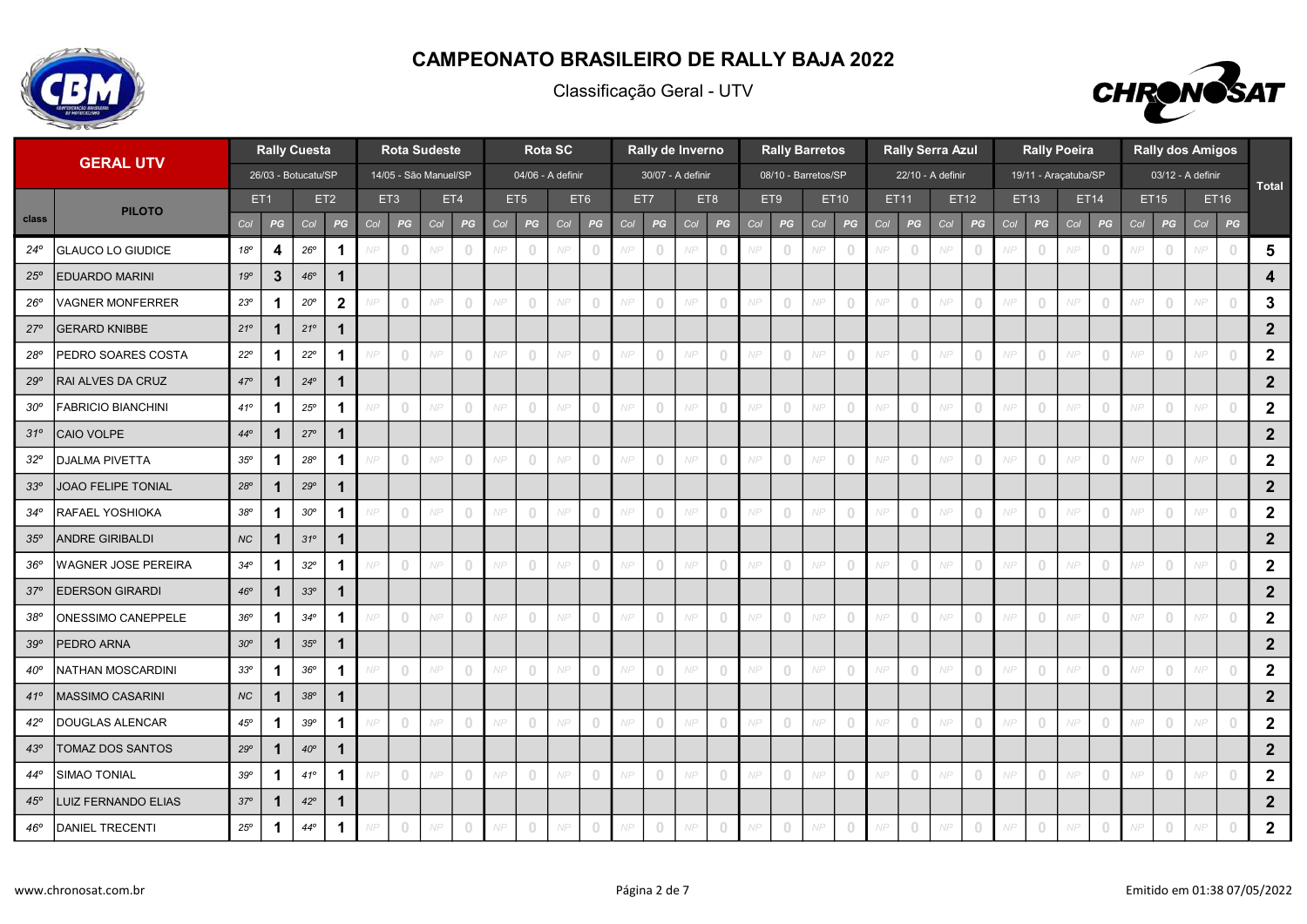

Classificação Geral - UTV



|                 | <b>GERAL UTV</b>          |              |                 | <b>Rally Cuesta</b> |              |     |                | <b>Rota Sudeste</b>   |                                  |     |                                       | <b>Rota SC</b> |                |     |                                       | Rally de Inverno  |                |     |                                       | <b>Rally Barretos</b> |                                 |     | <b>Rally Serra Azul</b> |     |                                  |     |                                       | <b>Rally Poeira</b>  |                                       |     |                                       | <b>Rally dos Amigos</b> |                |                  |
|-----------------|---------------------------|--------------|-----------------|---------------------|--------------|-----|----------------|-----------------------|----------------------------------|-----|---------------------------------------|----------------|----------------|-----|---------------------------------------|-------------------|----------------|-----|---------------------------------------|-----------------------|---------------------------------|-----|-------------------------|-----|----------------------------------|-----|---------------------------------------|----------------------|---------------------------------------|-----|---------------------------------------|-------------------------|----------------|------------------|
|                 |                           |              |                 | 26/03 - Botucatu/SP |              |     |                | 14/05 - São Manuel/SP |                                  |     | 04/06 - A definir                     |                |                |     |                                       | 30/07 - A definir |                |     |                                       | 08/10 - Barretos/SP   |                                 |     | 22/10 - A definir       |     |                                  |     |                                       | 19/11 - Araçatuba/SP |                                       |     |                                       | 03/12 - A definir       |                | <b>Total</b>     |
|                 | <b>PILOTO</b>             |              | ET <sub>1</sub> |                     | ET2          |     | ET3            |                       | ET4                              |     | ET <sub>5</sub>                       |                | ET6            |     | ET7                                   |                   | ET8            |     | ET9                                   |                       | ET10                            |     | ET11                    |     | ET12                             |     | ET13                                  | ET14                 |                                       |     | <b>ET15</b>                           |                         | ET16           |                  |
| class           |                           | Col          | PG              | Col                 | PG           | Col | PG             | Col                   | PG                               | Col | PG                                    | Col            | PG             | Col | PG                                    | Col               | PG             | Col | PG                                    | Col                   | $\boldsymbol{P} \boldsymbol{G}$ | Col | PG                      | Col | $\boldsymbol{P} \boldsymbol{G}$  | Col | PG                                    | Col                  | PG                                    | Col | PG                                    | Col                     | PG             |                  |
| $24^{\circ}$    | <b>GLAUCO LO GIUDICE</b>  | 18°          | 4               | $26^{\rm o}$        | $\mathbf{1}$ |     | $\,0\,$        | NP                    | $\overline{0}$                   |     | $\circ$                               | NP             | $\overline{0}$ |     | $\circ$                               |                   | $\overline{0}$ | NP  | $\bf 0$                               | NP                    | $\mathbf{0}$                    |     | $\circ$                 | NP  |                                  | NP  | $\overline{0}$                        | NP                   |                                       | NP  | $\overline{0}$                        | NP                      | $\overline{0}$ | $5\phantom{.0}$  |
| 25°             | <b>EDUARDO MARINI</b>     | 19°          | $\mathbf{3}$    | 46°                 | $\mathbf 1$  |     |                |                       |                                  |     |                                       |                |                |     |                                       |                   |                |     |                                       |                       |                                 |     |                         |     |                                  |     |                                       |                      |                                       |     |                                       |                         |                | 4                |
| $26^{\circ}$    | <b>VAGNER MONFERRER</b>   | $23^{\circ}$ | 1               | $20^{\circ}$        | $\mathbf{2}$ |     | $\overline{0}$ | NP                    | $\bigcirc$                       | NP  | $\begin{array}{c} 0 \\ 0 \end{array}$ | NP             | $\overline{0}$ | NP  | $\circ$                               | NP                | $\cup$         | NF  | $\overline{0}$                        | NP                    | $\Omega$                        |     | $\circ$                 | NP  |                                  | NP  | $\begin{array}{c} 0 \\ 0 \end{array}$ | NP                   |                                       | NP  | $\begin{array}{c} 0 \\ 0 \end{array}$ | NP                      |                | $\mathbf{3}$     |
| $27^{\circ}$    | <b>GERARD KNIBBE</b>      | $21^{\circ}$ | 1               | $21^{\circ}$        | $\mathbf 1$  |     |                |                       |                                  |     |                                       |                |                |     |                                       |                   |                |     |                                       |                       |                                 |     |                         |     |                                  |     |                                       |                      |                                       |     |                                       |                         |                | $2\overline{ }$  |
| 28°             | PEDRO SOARES COSTA        | $22^{\circ}$ | $\mathbf 1$     | $22^{\circ}$        | $\mathbf 1$  |     | $\overline{0}$ | NP                    | $\begin{array}{c} \n\end{array}$ | NP  | $\circ$                               | NP             | $\overline{0}$ | NP  | $\begin{array}{c} 0 \\ 0 \end{array}$ | NP                | $\overline{0}$ | NP  | $\circ$                               | NP                    | $\Omega$                        |     | $\circ$                 | NP  | $\Omega$                         | NP  | $\begin{array}{c} \n\end{array}$      | NP                   | $\begin{array}{c} \n\end{array}$      | NP  | $\begin{array}{c} \n\end{array}$      | NP                      |                | $\overline{2}$   |
| $29^\circ$      | RAI ALVES DA CRUZ         | $47^{\circ}$ | $\mathbf{1}$    | $24^{\circ}$        | $\mathbf 1$  |     |                |                       |                                  |     |                                       |                |                |     |                                       |                   |                |     |                                       |                       |                                 |     |                         |     |                                  |     |                                       |                      |                                       |     |                                       |                         |                | $\overline{2}$   |
| $30^{\circ}$    | <b>FABRICIO BIANCHINI</b> | $41^{\circ}$ | $\mathbf 1$     | $25^{\circ}$        | $\mathbf 1$  |     | $\overline{0}$ | NP                    | $\overline{0}$                   | NP  | $\begin{array}{c} 0 \\ 0 \end{array}$ | NP             | $\overline{0}$ | NP  | $\circ$                               | NP                | $\overline{0}$ | NP  | $\overline{0}$                        | NP                    | $\Omega$                        |     | $\overline{0}$          | NP  | $\bigcap$                        | NP  | $\overline{0}$                        | NP                   | $\begin{array}{c} \n\end{array}$      | NP  | $\begin{array}{c} 0 \\ 0 \end{array}$ | NP                      |                | $\overline{2}$   |
| $31^{\circ}$    | CAIO VOLPE                | $44^{\circ}$ | 1               | $27^{\circ}$        | $\mathbf 1$  |     |                |                       |                                  |     |                                       |                |                |     |                                       |                   |                |     |                                       |                       |                                 |     |                         |     |                                  |     |                                       |                      |                                       |     |                                       |                         |                | $\overline{2}$   |
| $32^{\circ}$    | <b>DJALMA PIVETTA</b>     | 35°          | -1              | $28^{\circ}$        | 1            |     | $\overline{0}$ | NP                    | $\begin{array}{c} \n\end{array}$ | N P | $\begin{array}{c} 0 \\ 0 \end{array}$ | NP             | $\overline{0}$ | NP  | $\overline{0}$                        | NP                | $\overline{0}$ | NP  | $\overline{0}$                        | NP                    | $\Omega$                        | NP  | $\overline{0}$          | NP  | $\cap$                           | NP  | $\begin{array}{c} 0 \\ 0 \end{array}$ | NP                   | $\begin{array}{c} \n\end{array}$      | NP  | $\begin{array}{c} 0 \\ 0 \end{array}$ | NP                      |                | $\overline{2}$   |
| 33 <sup>o</sup> | JOAO FELIPE TONIAL        | $28^{\circ}$ | $\mathbf{1}$    | 29°                 | $\mathbf{1}$ |     |                |                       |                                  |     |                                       |                |                |     |                                       |                   |                |     |                                       |                       |                                 |     |                         |     |                                  |     |                                       |                      |                                       |     |                                       |                         |                | $\overline{2}$   |
| $34^\circ$      | RAFAEL YOSHIOKA           | 38°          | $\mathbf 1$     | $30^{\circ}$        | $\mathbf 1$  |     | $\circledcirc$ | NP                    | $\overline{0}$                   | NP  | $\mathbb O$                           | NP             | $\overline{0}$ | NP  | $\circ$                               | NP                | $\overline{0}$ | NP  | $\circ$                               | NP                    | $\overline{0}$                  | NP  | $\circ$                 | NP  | $\overline{0}$                   | NP  | $\circ$                               | NP                   | $\begin{array}{c} 0 \\ 0 \end{array}$ | NP  | $\overline{0}$                        | NP                      | $\overline{0}$ | $\overline{2}$   |
| 35°             | <b>ANDRE GIRIBALDI</b>    | NC           | $\mathbf 1$     | $31^{\circ}$        | $\mathbf{1}$ |     |                |                       |                                  |     |                                       |                |                |     |                                       |                   |                |     |                                       |                       |                                 |     |                         |     |                                  |     |                                       |                      |                                       |     |                                       |                         |                | $\overline{2}$   |
| 36°             | WAGNER JOSE PEREIRA       | $34^{\circ}$ | 1               | $32^{\circ}$        | 1            |     | $\circ$        | NP                    | $\bigcirc$                       | N P | $\begin{array}{c} 0 \\ 0 \end{array}$ | NP             | $\overline{0}$ | NP  | $\overline{0}$                        | NP                | $\overline{0}$ | NP  | $\circ$                               | NP                    | $\overline{0}$                  |     | $\circ$                 | NP  |                                  | NP  | $\overline{0}$                        | NP                   |                                       | NP  | $\overline{0}$                        | NP                      |                | $\mathbf{2}$     |
| $37^\circ$      | <b>EDERSON GIRARDI</b>    | 46°          | 1               | 33°                 | 1            |     |                |                       |                                  |     |                                       |                |                |     |                                       |                   |                |     |                                       |                       |                                 |     |                         |     |                                  |     |                                       |                      |                                       |     |                                       |                         |                | $\overline{2}$   |
| 38 <sup>o</sup> | <b>ONESSIMO CANEPPELE</b> | 36°          | $\mathbf 1$     | $34^{\circ}$        | 1            |     | $\overline{0}$ | NP                    | $\overline{0}$                   | NP  | $\circ$                               | NP             | $\overline{0}$ | NP  | $\overline{0}$                        | NP                | $\overline{0}$ | NP  | $\overline{0}$                        | NP                    | $\circ$                         |     | $\overline{0}$          | NP  |                                  | NP  | $\begin{array}{c} 0 \end{array}$      | NP                   | $\begin{array}{c} 0 \\ 0 \end{array}$ | NP  | $\overline{0}$                        | NP                      |                | $\overline{2}$   |
| 39°             | PEDRO ARNA                | $30^{\circ}$ | $\mathbf 1$     | 35°                 | $\mathbf 1$  |     |                |                       |                                  |     |                                       |                |                |     |                                       |                   |                |     |                                       |                       |                                 |     |                         |     |                                  |     |                                       |                      |                                       |     |                                       |                         |                | $\overline{2}$   |
| $40^{\rm o}$    | NATHAN MOSCARDINI         | $33^{\rm o}$ | -1              | $36^{\circ}$        | 1            |     | $\circ$        | NP                    | $\overline{0}$                   | NP  | $\circ$                               | NP             | $\overline{0}$ | NP  | $\circ$                               | NP                | $\overline{0}$ | NP  | $\begin{array}{c} 0 \\ 0 \end{array}$ | NP                    | $\overline{0}$                  |     | $\circ$                 | NP  | $\overline{0}$                   | NP  | $\circ$                               | NP                   | $\Box$                                | NP  | $\overline{0}$                        | NP                      | $\cup$         | $\mathbf{2}$     |
| $41^{\circ}$    | <b>MASSIMO CASARINI</b>   | NC           | 1               | $38^{\circ}$        | 1            |     |                |                       |                                  |     |                                       |                |                |     |                                       |                   |                |     |                                       |                       |                                 |     |                         |     |                                  |     |                                       |                      |                                       |     |                                       |                         |                | $\overline{2}$   |
| $42^{\circ}$    | DOUGLAS ALENCAR           | $45^{\rm o}$ | $\mathbf 1$     | $39^{\circ}$        | $\mathbf 1$  |     | $\circ$        | NP                    | $\overline{0}$                   | NP  | $\,0\,$                               | NP             | $\circ$        | NP  | $\circ$                               | NP                | $\overline{0}$ | NP  | $\mathbb O$                           | NP                    | $\overline{0}$                  | NP  | $\circ$                 | NP  | $\Omega$                         | NP  | $\mathbb O$                           | NP                   | $\begin{array}{c} 0 \\ 0 \end{array}$ | NP  | $\overline{0}$                        | NP                      |                | $\mathbf{2}$     |
| 43°             | TOMAZ DOS SANTOS          | $29^\circ$   | $\mathbf 1$     | $40^{\circ}$        | $\mathbf 1$  |     |                |                       |                                  |     |                                       |                |                |     |                                       |                   |                |     |                                       |                       |                                 |     |                         |     |                                  |     |                                       |                      |                                       |     |                                       |                         |                | $\overline{2}$   |
| $44^\circ$      | <b>SIMAO TONIAL</b>       | 39°          | $\mathbf 1$     | 41°                 | $\mathbf 1$  |     | $\circ$        | NP                    | $\overline{0}$                   | NP  | $\circ$                               | NP             | $\overline{0}$ | NP  | $\begin{array}{c} 0 \\ 0 \end{array}$ | NP                | $\overline{0}$ | NP  | $\overline{0}$                        | NP                    | $\overline{0}$                  | NP  | $\circ$                 | NP  | $\begin{array}{c} \n\end{array}$ | NP  | $\circ$                               | NP                   | $\begin{array}{c} 0 \\ 0 \end{array}$ | NP  | $\overline{0}$                        | NP                      | $\bigcap$      | $\overline{2}$   |
| 45°             | LUIZ FERNANDO ELIAS       | 37°          | 1               | $42^{\circ}$        | 1            |     |                |                       |                                  |     |                                       |                |                |     |                                       |                   |                |     |                                       |                       |                                 |     |                         |     |                                  |     |                                       |                      |                                       |     |                                       |                         |                | $\boldsymbol{2}$ |
| 46°             | <b>DANIEL TRECENTI</b>    | $25^{\circ}$ | 1               | $44^{\circ}$        | 1            |     |                | NP                    | $\bigcirc$                       |     | $\circ$                               | NP             |                |     |                                       |                   | $\overline{0}$ | NP  | $\circ$                               | NP                    | $\circ$                         |     |                         |     |                                  | NP  | $\overline{0}$                        | NP                   |                                       |     |                                       |                         |                | $\mathbf{2}$     |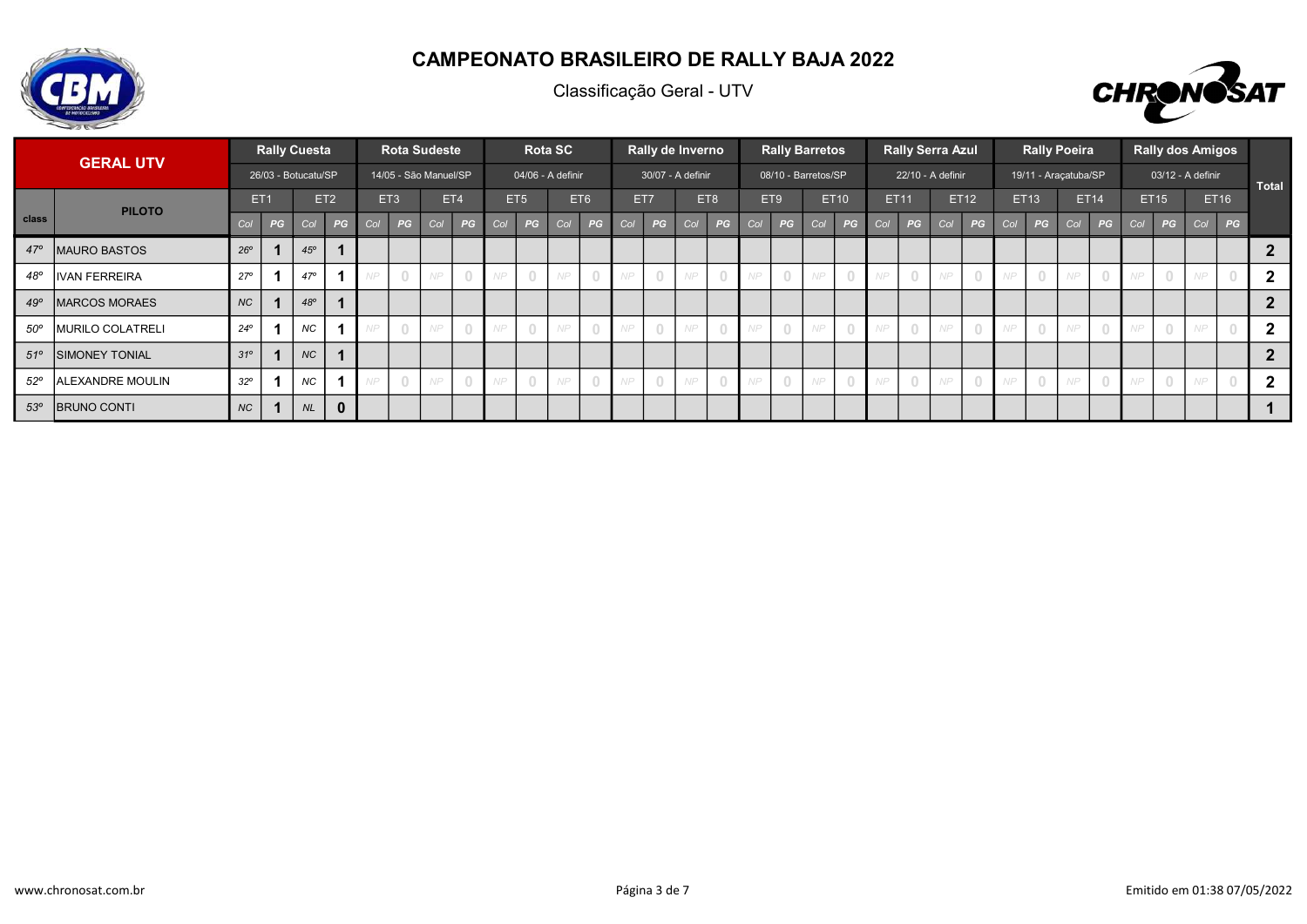

Classificação Geral - UTV



|              |                         |                 |    | <b>Rally Cuesta</b> |                 |     | <b>Rota Sudeste</b>   |     |     |     |                                  | <b>Rota SC</b>    |                                  |     | Rally de Inverno  |     |     |     |                | <b>Rally Barretos</b> |                                  |     |             | <b>Rally Serra Azul</b> |      |     | <b>Rally Poeira</b>  |     |             |     |             | <b>Rally dos Amigos</b> |      |                |
|--------------|-------------------------|-----------------|----|---------------------|-----------------|-----|-----------------------|-----|-----|-----|----------------------------------|-------------------|----------------------------------|-----|-------------------|-----|-----|-----|----------------|-----------------------|----------------------------------|-----|-------------|-------------------------|------|-----|----------------------|-----|-------------|-----|-------------|-------------------------|------|----------------|
|              | <b>GERAL UTV</b>        |                 |    | 26/03 - Botucatu/SP |                 |     | 14/05 - São Manuel/SP |     |     |     |                                  | 04/06 - A definir |                                  |     | 30/07 - A definir |     |     |     |                | 08/10 - Barretos/SP   |                                  |     |             | 22/10 - A definir       |      |     | 19/11 - Araçatuba/SP |     |             |     |             | 03/12 - A definir       |      | Total          |
|              | <b>PILOTO</b>           | ET <sub>1</sub> |    |                     | ET <sub>2</sub> |     | ET <sub>3</sub>       |     | ET4 |     | ET <sub>5</sub>                  |                   | ET6                              |     | ET7               |     | ET8 |     | ET9            |                       | <b>ET10</b>                      |     | <b>ET11</b> |                         | ET12 |     | ET13                 |     | <b>ET14</b> |     | <b>ET15</b> |                         | ET16 |                |
| <b>class</b> |                         | Col             | PG | Col                 | PG              | Col | PG                    | Col | PG  | Col | PG                               | Col               | PG                               | Col | PG                | Col | PG  | Col | PG             | Col                   | PG                               | Col | PG          | Col                     | PG   | Col | PG                   | Col | PG          | Col | PG          | Col                     | PG   |                |
| $47^\circ$   | <b>IMAURO BASTOS</b>    | $26^{\circ}$    |    | 45°                 |                 |     |                       |     |     |     |                                  |                   |                                  |     |                   |     |     |     |                |                       |                                  |     |             |                         |      |     |                      |     |             |     |             |                         |      |                |
| 48°          | <b>IVAN FERREIRA</b>    | $27^{\circ}$    |    | $47^{\circ}$        |                 |     |                       | NP  |     |     | $\Box$                           | NP                | $\bigcap$                        | NP. | $\bigcirc$        | NP  |     |     | $\bigcirc$     | NP                    |                                  |     |             | NP                      |      |     | $\overline{0}$       | NP  |             |     |             | NP                      |      | $\overline{2}$ |
| 49°          | <b>MARCOS MORAES</b>    | <b>NC</b>       |    | 48°                 |                 |     |                       |     |     |     |                                  |                   |                                  |     |                   |     |     |     |                |                       |                                  |     |             |                         |      |     |                      |     |             |     |             |                         |      | $\overline{2}$ |
| $50^{\circ}$ | <b>MURILO COLATRELI</b> | $24^{\circ}$    |    | <b>NC</b>           |                 |     |                       | NP  |     |     | $\begin{array}{c} \n\end{array}$ | NP                | $\Omega$                         | NP. | $\Omega$          | NP  |     |     | $\bigcirc$     | NP                    |                                  |     |             | NP                      |      |     | $\bigcirc$           | NP  |             |     |             | VD                      |      | $\overline{2}$ |
| $51^{\circ}$ | <b>SIMONEY TONIAL</b>   | $31^\circ$      |    | NC                  |                 |     |                       |     |     |     |                                  |                   |                                  |     |                   |     |     |     |                |                       |                                  |     |             |                         |      |     |                      |     |             |     |             |                         |      | $\overline{2}$ |
| $52^{\circ}$ | <b>ALEXANDRE MOULIN</b> | $32^{\circ}$    |    | <b>NC</b>           |                 |     |                       | NP  |     |     | $\bigcirc$                       | NP                | $\begin{array}{c} \n\end{array}$ | NP. | $\circ$           | NP  |     |     | $\overline{0}$ | NP                    | $\begin{array}{c} \n\end{array}$ |     |             | NP                      |      |     | $\overline{0}$       | NP  |             |     |             | NP                      |      | $2^{\circ}$    |
| $53^\circ$   | <b>BRUNO CONTI</b>      | <b>NC</b>       |    | NL                  | $\mathbf 0$     |     |                       |     |     |     |                                  |                   |                                  |     |                   |     |     |     |                |                       |                                  |     |             |                         |      |     |                      |     |             |     |             |                         |      |                |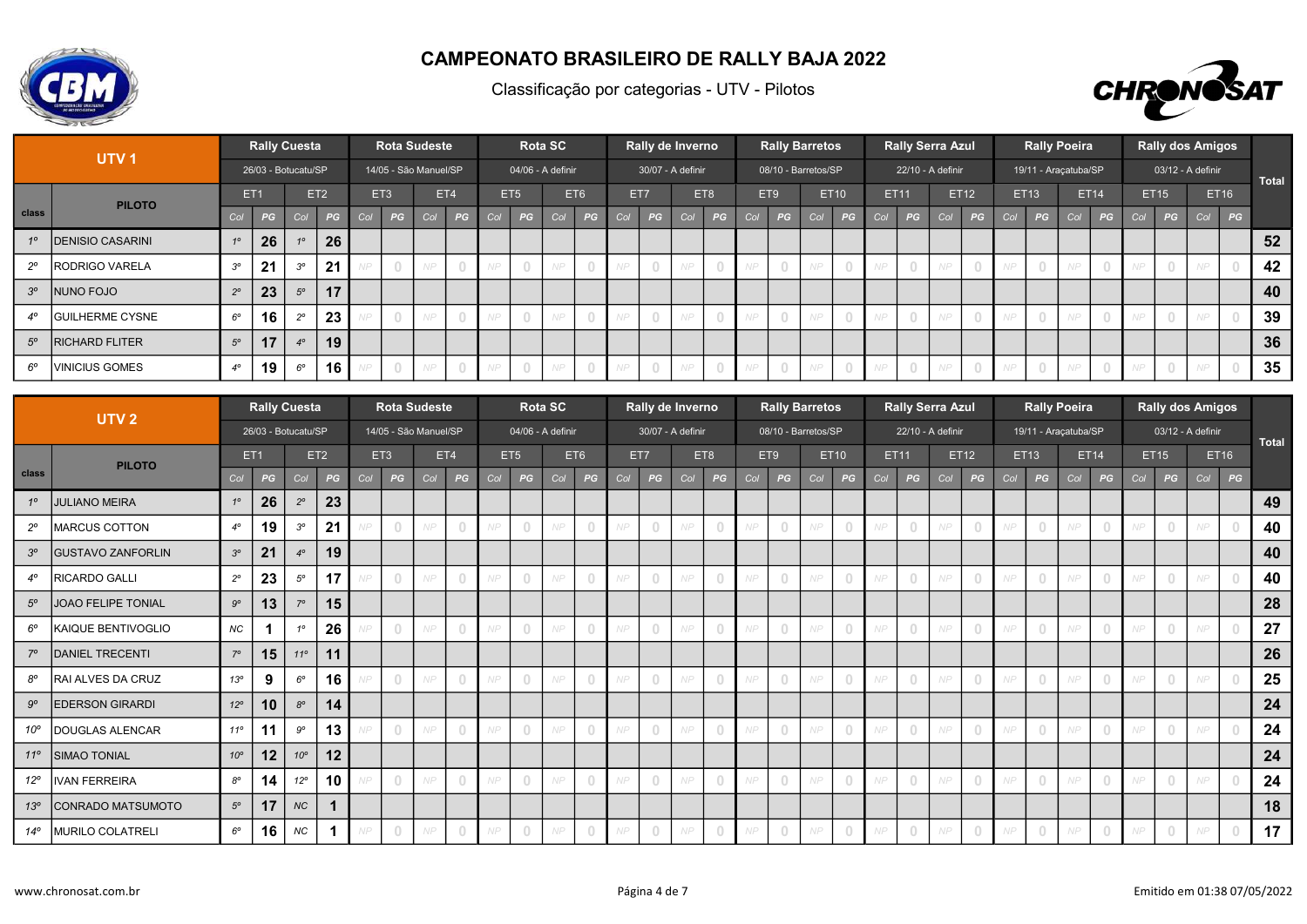



|             | UTV <sub>1</sub>        |                  |    | <b>Rally Cuesta</b> |                 |     |                 | <b>Rota Sudeste</b>   |                                  |      |                 | <b>Rota SC</b>    |     |           |           | Rally de Inverno  |                |     |                                       | <b>Rally Barretos</b> |      |      | <b>Rally Serra Azul</b> |             |                |     | <b>Rally Poeira</b>              |       |             |     |             | <b>Rally dos Amigos</b> |    |       |
|-------------|-------------------------|------------------|----|---------------------|-----------------|-----|-----------------|-----------------------|----------------------------------|------|-----------------|-------------------|-----|-----------|-----------|-------------------|----------------|-----|---------------------------------------|-----------------------|------|------|-------------------------|-------------|----------------|-----|----------------------------------|-------|-------------|-----|-------------|-------------------------|----|-------|
|             |                         |                  |    | 26/03 - Botucatu/SP |                 |     |                 | 14/05 - São Manuel/SP |                                  |      |                 | 04/06 - A definir |     |           |           | 30/07 - A definir |                |     |                                       | 08/10 - Barretos/SP   |      |      | 22/10 - A definir       |             |                |     | 19/11 - Araçatuba/SP             |       |             |     |             | 03/12 - A definir       |    | Total |
|             | <b>PILOTO</b>           | ET <sub>1</sub>  |    |                     | ET <sub>2</sub> |     | ET <sub>3</sub> |                       | ET4                              |      | ET <sub>5</sub> |                   | ET6 |           | ET7       |                   | ET8            | ET9 |                                       |                       | ET10 |      | ET11                    |             | <b>ET12</b>    |     | ET13                             |       | <b>ET14</b> |     | <b>ET15</b> | <b>ET16</b>             |    |       |
| class       |                         | Col.             | PG | Col                 | PG              | Col | PG              | Col                   | PG                               | Col  | PG              | Col               | PG  | Col       | PG        | Col               | PG             | Col | PG                                    | Col                   | PG   | Col  | PG                      | Col         | PG             | Col | PG                               | Col / | PG          | Col | PG          | Col                     | PG |       |
| 10          | <b>DENISIO CASARINI</b> | 10 <sup>10</sup> | 26 |                     | 26              |     |                 |                       |                                  |      |                 |                   |     |           |           |                   |                |     |                                       |                       |      |      |                         |             |                |     |                                  |       |             |     |             |                         |    | 52    |
| $2^{\circ}$ | <b>IRODRIGO VARELA</b>  | $3^{\circ}$      | 21 | 30                  | 21              |     | $\bigcirc$      | NP                    | $\begin{array}{c} \n\end{array}$ |      |                 |                   |     | <b>ND</b> |           | NP                | $\bigcirc$     | NP  | $\begin{array}{c} 0 \\ 0 \end{array}$ |                       |      |      | $\cap$                  | $\wedge$ ID |                | NP  | $\begin{array}{c} \n\end{array}$ | NP    |             |     |             |                         |    | 42    |
| $3^{\circ}$ | INUNO FOJO              | $2^{\circ}$      | 23 | $5^{\circ}$         | 17              |     |                 |                       |                                  |      |                 |                   |     |           |           |                   |                |     |                                       |                       |      |      |                         |             |                |     |                                  |       |             |     |             |                         |    | 40    |
| $4^\circ$   | <b>IGUILHERME CYSNE</b> | $6^{\circ}$      | 16 | $20^{\circ}$        | 23              |     | $\bigcap$       | NP                    | $\Omega$                         |      | $\Omega$        | N P               |     | <b>NP</b> | $\cap$    | NP                | $\overline{0}$ | NP  | $\Omega$                              |                       |      | AID. |                         | NIP         |                | NP  | $\bigcirc$                       | NP    |             |     |             |                         |    | 39    |
| $5^\circ$   | <b>RICHARD FLITER</b>   | $5^\circ$        | 17 | $4^\circ$           | 19              |     |                 |                       |                                  |      |                 |                   |     |           |           |                   |                |     |                                       |                       |      |      |                         |             |                |     |                                  |       |             |     |             |                         |    | 36    |
| $6^\circ$   | <b>VINICIUS GOMES</b>   | $4^\circ$        | 19 | $6^{\circ}$         | 16 <sub>1</sub> |     | $\overline{0}$  | NP                    | $\circ$                          | NP . | $\overline{0}$  | NP                |     | NP        | $\bigcap$ | NP                | $\overline{0}$ | NP  | $\circ$                               | NP                    |      | NP.  |                         | N P         | $\overline{0}$ | NP  | $\overline{0}$                   | NP.   |             | NP  |             |                         |    | 35    |

|              | UTV <sub>2</sub>          |              | <b>Rally Cuesta</b> |                 |                 |     |                | <b>Rota Sudeste</b>   |                                       |     |                   | <b>Rota SC</b> |        |     |     | Rally de Inverno  |                                  |     |                                  | <b>Rally Barretos</b> |                                  |     | <b>Rally Serra Azul</b> |            |                |     |                                       | <b>Rally Poeira</b>  |                                  |     |                                  | <b>Rally dos Amigos</b> |             |              |
|--------------|---------------------------|--------------|---------------------|-----------------|-----------------|-----|----------------|-----------------------|---------------------------------------|-----|-------------------|----------------|--------|-----|-----|-------------------|----------------------------------|-----|----------------------------------|-----------------------|----------------------------------|-----|-------------------------|------------|----------------|-----|---------------------------------------|----------------------|----------------------------------|-----|----------------------------------|-------------------------|-------------|--------------|
|              |                           |              | 26/03 - Botucatu/SP |                 |                 |     |                | 14/05 - São Manuel/SP |                                       |     | 04/06 - A definir |                |        |     |     | 30/07 - A definir |                                  |     |                                  | 08/10 - Barretos/SP   |                                  |     | 22/10 - A definir       |            |                |     |                                       | 19/11 - Araçatuba/SP |                                  |     |                                  | 03/12 - A definir       |             | <b>Total</b> |
|              | <b>PILOTO</b>             |              | ET <sub>1</sub>     |                 | ET <sub>2</sub> |     | ET3            |                       | ET4                                   |     | ET <sub>5</sub>   |                | ET6    |     | ET7 |                   | ET8                              |     | ET9                              |                       | <b>ET10</b>                      |     | ET11                    |            | ET12           |     | ET13                                  |                      | <b>ET14</b>                      |     | ET15                             |                         | <b>ET16</b> |              |
| <b>class</b> |                           | Col          | PG                  | Col             | PG              | Col | PG             | Col                   | PG                                    | Col | PG                | Col            | PG     | Col | PG  | Col               | PG                               | Col | PG                               | Col                   | PG                               | Col | PG                      | Col        | PG             | Col | PG                                    | Col                  | PG                               | Col | PG                               | Col                     | PG          |              |
| $1^{\circ}$  | <b>JULIANO MEIRA</b>      | $1^{\circ}$  | 26                  | $2^{\circ}$     | 23              |     |                |                       |                                       |     |                   |                |        |     |     |                   |                                  |     |                                  |                       |                                  |     |                         |            |                |     |                                       |                      |                                  |     |                                  |                         |             | 49           |
| $2^{\circ}$  | <b>MARCUS COTTON</b>      | $4^\circ$    | 19                  | $3^{\circ}$     | 21              |     | $\bigcap$      | NP                    | $\bigcap$                             |     | 0                 | NP             |        |     |     | NP                | $\bigcap$                        | NP  | $\Box$                           | NP                    | $\bigcap$                        | VP  |                         | <b>NIP</b> | $\bigcirc$     | N P | $\begin{array}{c} \n\end{array}$      | NP.                  |                                  |     | $\Omega$                         | NP                      |             | 40           |
| $3^{\circ}$  | <b>GUSTAVO ZANFORLIN</b>  | $3^{\circ}$  | 21                  | $4^\circ$       | 19              |     |                |                       |                                       |     |                   |                |        |     |     |                   |                                  |     |                                  |                       |                                  |     |                         |            |                |     |                                       |                      |                                  |     |                                  |                         |             | 40           |
| $4^\circ$    | RICARDO GALLI             | $2^{\circ}$  | 23                  | $5^{\circ}$     | 17              |     | $\overline{0}$ | NP                    | $\cup$                                |     | $\Box$            | NP             |        |     |     | NP                | $\bigcap$                        | NP  | $\begin{array}{c} \n\end{array}$ | NP                    |                                  | NP  |                         |            | $\bigcap$      | NP  | $\begin{array}{c} 0 \\ 0 \end{array}$ | NP                   |                                  |     | $\Omega$                         | NP                      |             | 40           |
| $5^\circ$    | <b>JOAO FELIPE TONIAL</b> | $9^{\circ}$  | 13                  | $7^\circ$       | 15              |     |                |                       |                                       |     |                   |                |        |     |     |                   |                                  |     |                                  |                       |                                  |     |                         |            |                |     |                                       |                      |                                  |     |                                  |                         |             | 28           |
| $6^{\circ}$  | KAIQUE BENTIVOGLIO        | <b>NC</b>    |                     | 10              | 26              |     | $\overline{0}$ | NP                    | $\begin{array}{c} 0 \\ 0 \end{array}$ | NP. | $\Omega$          | NP             | $\cap$ | NP  |     | N P               | $\bigcap$                        | NP. | $\begin{array}{c} 0 \end{array}$ | NP                    | $\Box$                           | NP  |                         | <b>NP</b>  | $\bigcirc$     | NP  | $\overline{0}$                        | NP.                  | $\Omega$                         | NP  | $\Omega$                         | NP                      |             | 27           |
| $7^\circ$    | <b>DANIEL TRECENTI</b>    | $7^\circ$    | 15                  | 11 <sup>°</sup> | 11              |     |                |                       |                                       |     |                   |                |        |     |     |                   |                                  |     |                                  |                       |                                  |     |                         |            |                |     |                                       |                      |                                  |     |                                  |                         |             | 26           |
| $8^{\circ}$  | RAI ALVES DA CRUZ         | $13^\circ$   | 9                   | $6^{\circ}$     | 16              |     | $\Box$         | NP                    | $\Omega$                              |     |                   | NP             |        |     |     | NP                | $\bigcap$                        | NP  | $\Omega$                         | NP                    |                                  | VP  |                         |            | $\bigcap$      | NP  | $\begin{array}{c} \n\end{array}$      | NP.                  |                                  |     | $\begin{array}{c} \n\end{array}$ |                         |             | 25           |
| $9^\circ$    | <b>EDERSON GIRARDI</b>    | $12^{\circ}$ | 10 <sup>1</sup>     | $8^{\circ}$     | 14              |     |                |                       |                                       |     |                   |                |        |     |     |                   |                                  |     |                                  |                       |                                  |     |                         |            |                |     |                                       |                      |                                  |     |                                  |                         |             | 24           |
| $10^{\circ}$ | IDOUGLAS ALENCAR          | $11^{\circ}$ | 11                  | $9^{\circ}$     | 13              |     | $\circ$        | NP                    | $\begin{array}{c} 0 \\ 0 \end{array}$ | NP. | $\mathbf{0}$      | NP             |        |     |     | NP                | $\begin{array}{c} \n\end{array}$ | NP  | $\circ$                          | NP                    | $\begin{array}{c} \n\end{array}$ | NP. |                         | NP         | $\circ$        | NP  | $\overline{0}$                        | NP.                  | $\begin{array}{c} 0 \end{array}$ |     | $\Omega$                         | NP                      |             | 24           |
| $11^{\circ}$ | <b>SIMAO TONIAL</b>       | $10^{\circ}$ | 12 <sub>2</sub>     | $10^{\circ}$    | 12              |     |                |                       |                                       |     |                   |                |        |     |     |                   |                                  |     |                                  |                       |                                  |     |                         |            |                |     |                                       |                      |                                  |     |                                  |                         |             | 24           |
| $12^{\circ}$ | <b>VAN FERREIRA</b>       | $8^{\circ}$  | 14                  | $12^{\circ}$    | 10              |     | $\overline{0}$ | NP                    | $\begin{array}{c} \n\end{array}$      |     | $\Box$            | NP             |        |     |     | NP                | $\bigcap$                        | NP  | $\begin{array}{c} \n\end{array}$ | NP                    | $\cup$                           | VP  | $\cap$                  | NP         | $\overline{0}$ | N P | $\overline{0}$                        | NP.                  |                                  |     | $\Omega$                         | <b>NP</b>               |             | 24           |
| $13^\circ$   | CONRADO MATSUMOTO         | $5^{\circ}$  | 17                  | <b>NC</b>       |                 |     |                |                       |                                       |     |                   |                |        |     |     |                   |                                  |     |                                  |                       |                                  |     |                         |            |                |     |                                       |                      |                                  |     |                                  |                         |             | 18           |
| $14^{\circ}$ | MURILO COLATRELI          | $6^{\circ}$  | 16                  | <b>NC</b>       |                 | VP  | $\Box$         | NP                    | $\Omega$                              | NP. | $\Omega$          | <b>NP</b>      |        |     |     | N P               | $\cup$                           | NP. | $\Omega$                         | NP                    |                                  | NP. | n.                      | NP         | $\bigcap$      | N P | $\Omega$                              | NP.                  | n                                | NP  | $\Omega$                         | NP.                     |             | 17           |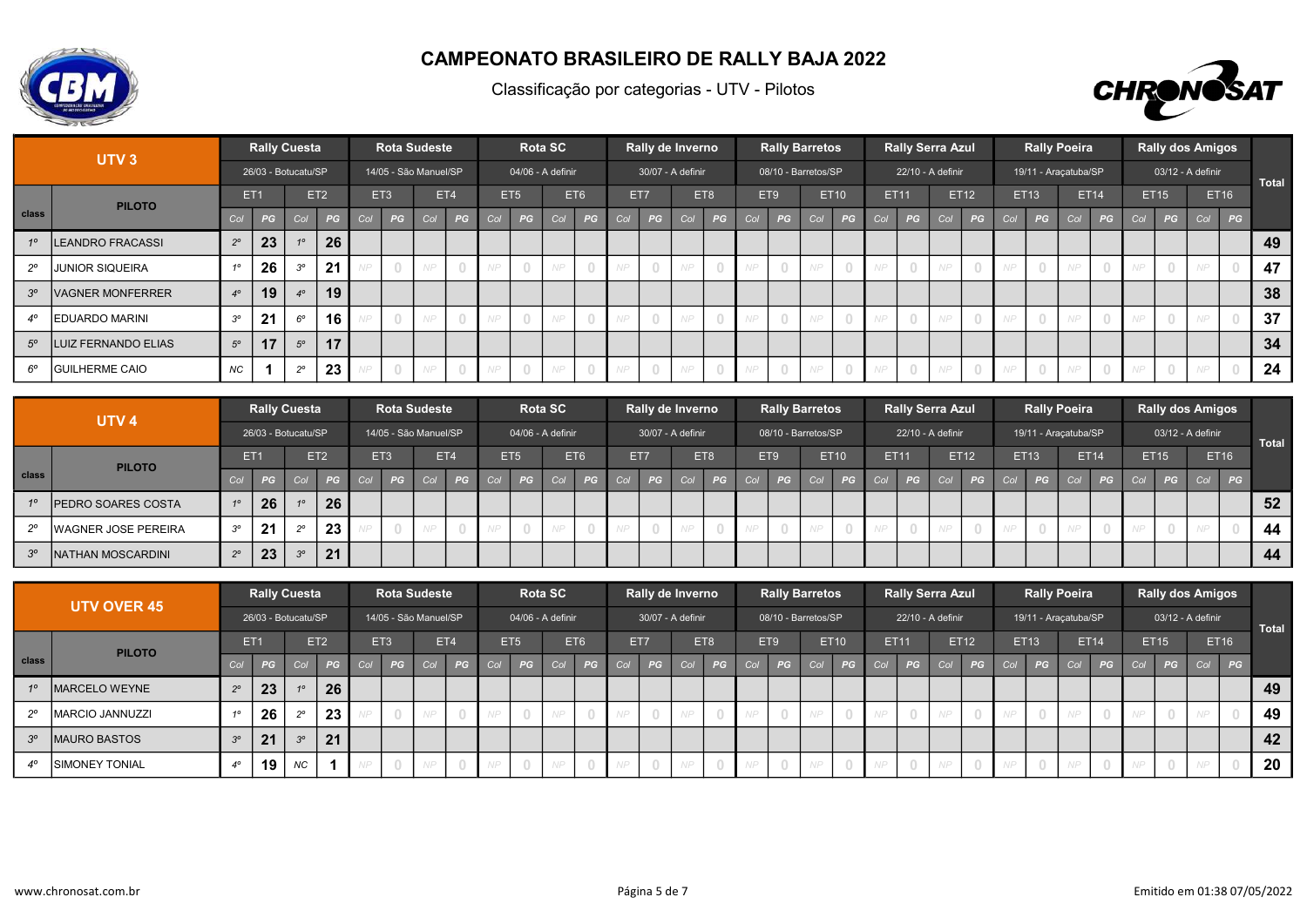



|             | UTV <sub>3</sub>        |             | <b>Rally Cuesta</b> |              |                 |     |                 | <b>Rota Sudeste</b>   |                                       |     |                 | <b>Rota SC</b>    |     |     |        | Rally de Inverno  |                |                 |                                       | <b>Rally Barretos</b> |             |            | <b>Rally Serra Azul</b> |      |                |     | <b>Rally Poeira</b>              |             |    |     |      | <b>Rally dos Amigos</b> |             |       |
|-------------|-------------------------|-------------|---------------------|--------------|-----------------|-----|-----------------|-----------------------|---------------------------------------|-----|-----------------|-------------------|-----|-----|--------|-------------------|----------------|-----------------|---------------------------------------|-----------------------|-------------|------------|-------------------------|------|----------------|-----|----------------------------------|-------------|----|-----|------|-------------------------|-------------|-------|
|             |                         |             | 26/03 - Botucatu/SP |              |                 |     |                 | 14/05 - São Manuel/SP |                                       |     |                 | 04/06 - A definir |     |     |        | 30/07 - A definir |                |                 |                                       | 08/10 - Barretos/SP   |             |            | 22/10 - A definir       |      |                |     | 19/11 - Araçatuba/SP             |             |    |     |      | 03/12 - A definir       |             | Total |
|             | <b>PILOTO</b>           |             | ET <sub>1</sub>     |              | ET <sub>2</sub> |     | ET <sub>3</sub> |                       | ET4                                   |     | ET <sub>5</sub> |                   | ET6 |     | ET7    |                   | ET8            | ET <sub>9</sub> |                                       |                       | <b>ET10</b> |            | ET11                    |      | <b>ET12</b>    |     | ET13                             | <b>ET14</b> |    |     | ET15 |                         | <b>ET16</b> |       |
| class       |                         | Col         | PG                  | Col          | PG              | Col | PG              | Col                   | PG                                    | Col | PG              | Col               | PG  | Col | PG     | Col               | PG             | Col             | PG                                    | Col                   | PG          | Col        | PG                      | Col  | PG             | Col | PG                               | Col         | PG | Col | PG   | Col                     | PG          |       |
| 10          | <b>LEANDRO FRACASSI</b> | $2^{\circ}$ | 23                  |              | 26              |     |                 |                       |                                       |     |                 |                   |     |     |        |                   |                |                 |                                       |                       |             |            |                         |      |                |     |                                  |             |    |     |      |                         |             | 49    |
| $2^{\circ}$ | <b>JUNIOR SIQUEIRA</b>  |             | 26                  | $30^{\circ}$ | 21              |     | $\bigcap$       | NP                    | $\begin{array}{c} \n\end{array}$      |     |                 |                   |     |     |        | NP                | $\bigcirc$     | NP              | $\begin{array}{c} 0 \\ 0 \end{array}$ |                       |             |            |                         | AID. |                |     | $\begin{array}{c} \n\end{array}$ | MT          |    |     |      |                         |             | 47    |
| $3^{\circ}$ | <b>VAGNER MONFERRER</b> | 40          | 19                  | $4^\circ$    | 19              |     |                 |                       |                                       |     |                 |                   |     |     |        |                   |                |                 |                                       |                       |             |            |                         |      |                |     |                                  |             |    |     |      |                         |             | 38    |
|             | <b>IEDUARDO MARINI</b>  | $3^{\circ}$ | 21                  | $6^\circ$    | 16              |     | $\overline{0}$  | NP                    | $\bigcirc$                            | NP  | $\overline{0}$  | NP                |     | NP. | $\cap$ | NP                | $\overline{0}$ | NP.             | $\Omega$                              |                       |             | NP.        |                         | N P  |                | NP  | $\bigcirc$                       | NP.         |    |     |      |                         |             | 37    |
| $5^\circ$   | LUIZ FERNANDO ELIAS     | $5^\circ$   | 17                  | $5^\circ$    | 17              |     |                 |                       |                                       |     |                 |                   |     |     |        |                   |                |                 |                                       |                       |             |            |                         |      |                |     |                                  |             |    |     |      |                         |             | 34    |
| $6^\circ$   | <b>GUILHERME CAIO</b>   | <b>NC</b>   |                     | 20           | 23              |     | $\bigcirc$      | NP                    | $\begin{array}{c} 0 \\ 0 \end{array}$ | NP. | $\overline{0}$  | NP                |     | NP. |        | NP                | $\overline{0}$ | NP.             | $\begin{array}{c} 0 \\ 0 \end{array}$ |                       |             | <b>NIP</b> |                         | N P  | $\overline{0}$ | NP  | $\overline{0}$                   | NP          |    |     |      | AID                     |             | 24    |

|                | UTV <sub>4</sub>            |                  |    | <b>Rally Cuesta</b> |                 |                 |    | <b>Rota Sudeste</b>   |     |     |                 | <b>Rota SC</b>    |     |     |      | Rally de Inverno  |        |     |                 | <b>Rally Barretos</b> |             |             | <b>Rally Serra Azul</b> |     |             |     |             | <b>Rally Poeira</b>  |               |     |             | <b>Rally dos Amigos</b> |    |       |
|----------------|-----------------------------|------------------|----|---------------------|-----------------|-----------------|----|-----------------------|-----|-----|-----------------|-------------------|-----|-----|------|-------------------|--------|-----|-----------------|-----------------------|-------------|-------------|-------------------------|-----|-------------|-----|-------------|----------------------|---------------|-----|-------------|-------------------------|----|-------|
|                |                             |                  |    | 26/03 - Botucatu/SP |                 |                 |    | 14/05 - São Manuel/SP |     |     |                 | 04/06 - A definir |     |     |      | 30/07 - A definir |        |     |                 | 08/10 - Barretos/SP   |             |             | 22/10 - A definir       |     |             |     |             | 19/11 - Araçatuba/SP |               |     |             | 03/12 - A definir       |    | Total |
|                | <b>PILOTO</b>               | ET <sub>1</sub>  |    |                     | ET <sub>2</sub> | ET <sub>3</sub> |    |                       | ET4 |     | E <sub>T5</sub> |                   | ET6 | ET7 |      | ET8               |        |     | ET <sub>9</sub> |                       | <b>ET10</b> | <b>ET11</b> |                         |     | <b>ET12</b> |     | <b>ET13</b> | <b>ET14</b>          |               |     | <b>ET15</b> | <b>ET16</b>             |    |       |
| class          |                             |                  | PG | Col                 | $P$ G           | Col             | PG | Col                   | PG  | Col | $P$ G           | Col               | PG  | Col | PG A | CO <sub>1</sub>   | PG     | Col | PG              | Col                   | PG          | Col         | PG                      | Col | PG          | Col | PG          |                      | Col <b>PG</b> | Col | PG          | Col                     | PG |       |
|                | <b>IPEDRO SOARES COSTA</b>  | 10 <sup>10</sup> | 26 |                     | 26              |                 |    |                       |     |     |                 |                   |     |     |      |                   |        |     |                 |                       |             |             |                         |     |             |     |             |                      |               |     |             |                         |    | 52    |
| 20             | <b>IWAGNER JOSE PEREIRA</b> | $3^{\circ}$      | 21 | $\sim$              | 23              |                 |    |                       |     |     |                 |                   |     |     |      |                   | $\Box$ | NP  |                 |                       |             |             |                         |     |             |     | $\Omega$    |                      |               |     |             |                         |    | 44    |
| 3 <sup>o</sup> | <b>INATHAN MOSCARDINI</b>   | 20               | 23 | $\alpha$            | 21              |                 |    |                       |     |     |                 |                   |     |     |      |                   |        |     |                 |                       |             |             |                         |     |             |     |             |                      |               |     |             |                         |    | 44    |

|           | <b>UTV OVER 45</b>     |                 |                | Rally Cuesta        |                 |           | <b>Rota Sudeste</b>   |     |     |     |                 | <b>Rota SC</b>    |     | Rally de Inverno  |     |                |       |     | <b>Rally Barretos</b> |             |             | <b>Rally Serra Azul</b> |     |             |     |                                       | <b>Rally Poeira</b>  |             |     | <b>Rally dos Amigos</b> |     |             |              |
|-----------|------------------------|-----------------|----------------|---------------------|-----------------|-----------|-----------------------|-----|-----|-----|-----------------|-------------------|-----|-------------------|-----|----------------|-------|-----|-----------------------|-------------|-------------|-------------------------|-----|-------------|-----|---------------------------------------|----------------------|-------------|-----|-------------------------|-----|-------------|--------------|
|           |                        |                 |                | 26/03 - Botucatu/SP |                 |           | 14/05 - São Manuel/SP |     |     |     |                 | 04/06 - A definir |     | 30/07 - A definir |     |                |       |     | 08/10 - Barretos/SP   |             |             | 22/10 - A definir       |     |             |     |                                       | 19/11 - Araçatuba/SP |             |     | 03/12 - A definir       |     |             | <b>Total</b> |
|           | <b>PILOTO</b>          | ET <sub>1</sub> |                |                     | ET <sub>2</sub> |           | ET <sub>3</sub>       |     | ET4 |     | ET <sub>5</sub> |                   | ET6 | ET7               | ET8 |                |       | ET9 |                       | <b>ET10</b> | <b>ET11</b> |                         |     | <b>ET12</b> |     | <b>ET13</b>                           |                      | <b>ET14</b> |     | <b>ET15</b>             |     | <b>ET16</b> |              |
| class     |                        | Col 1           | PG             | Col                 | PG              | Col       | PG                    | Col | PG  | Col | PG              | Col               | PG  | Col <b>PG</b>     | Col | PG             | Col / | PG  | CO <sub>1</sub>       | PG          | Col         | PG                      | Col | PG          | Col | PG                                    | Col                  | PG          | Col | PG                      | Col | PG          |              |
| 10        | <b>IMARCELO WEYNE</b>  | $2^{\circ}$     | 23             |                     | 26              |           |                       |     |     |     |                 |                   |     |                   |     |                |       |     |                       |             |             |                         |     |             |     |                                       |                      |             |     |                         |     |             | 49           |
| າ         | IMARCIO JANNUZZI       | 10              | 26             |                     | 23              |           |                       | NP  |     |     |                 | NP                |     |                   | NP  |                | NP.   |     |                       |             |             |                         |     |             | N P | $\begin{array}{c} 0 \\ 0 \end{array}$ |                      |             |     |                         |     |             | 49           |
| $3^\circ$ | <b>IMAURO BASTOS</b>   | $3^\circ$       | 2 <sub>1</sub> | $3^{\circ}$         | 21              |           |                       |     |     |     |                 |                   |     |                   |     |                |       |     |                       |             |             |                         |     |             |     |                                       |                      |             |     |                         |     |             | 42           |
|           | <b>ISIMONEY TONIAL</b> | $4^\circ$       | 19             | NC                  |                 | <b>NP</b> | $\overline{0}$        | N P |     |     | $\overline{0}$  | NP                |     | $\overline{0}$    | NP  | $\overline{0}$ | NP.   |     | NP                    |             | NP.         |                         | NP  | - 0         | NP  | $\circ$                               | <b>NP</b>            | $\Box$      |     |                         |     |             | 20           |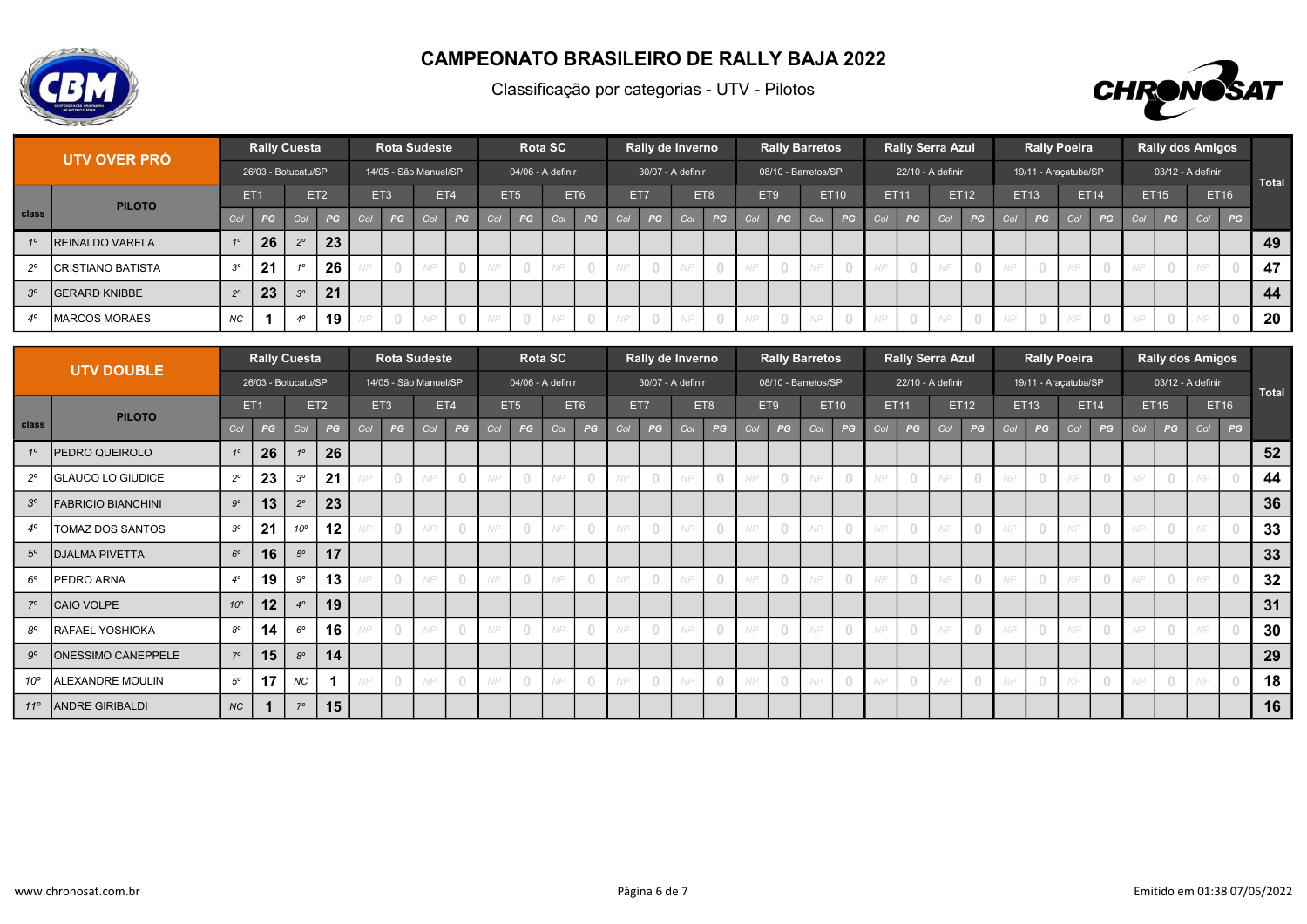



|                 | UTV OVER PRÓ             |                 |    | Rally Cuesta        |                 |     | <b>Rota Sudeste</b>   |     |     |     |                 | <b>Rota SC</b>      |     |     | Rally de Inverno  |     |                |     | <b>Rally Barretos</b> |     |             |             | <b>Rally Serra Azul</b> |     |      |     |                | <b>Rally Poeira</b>  |             |     |             | <b>Rally dos Amigos</b> |               |              |
|-----------------|--------------------------|-----------------|----|---------------------|-----------------|-----|-----------------------|-----|-----|-----|-----------------|---------------------|-----|-----|-------------------|-----|----------------|-----|-----------------------|-----|-------------|-------------|-------------------------|-----|------|-----|----------------|----------------------|-------------|-----|-------------|-------------------------|---------------|--------------|
|                 |                          |                 |    | 26/03 - Botucatu/SP |                 |     | 14/05 - São Manuel/SP |     |     |     |                 | $04/06$ - A definir |     |     | 30/07 - A definir |     |                |     | 08/10 - Barretos/SP   |     |             |             | 22/10 - A definir       |     |      |     |                | 19/11 - Araçatuba/SP |             |     |             | 03/12 - A definir       |               | <b>Total</b> |
|                 | <b>PILOTO</b>            | ET <sub>1</sub> |    |                     | ET <sub>2</sub> |     | ET <sub>3</sub>       |     | ET4 |     | ET <sub>5</sub> |                     | ET6 |     | ET7               | ET8 |                |     | ET9                   |     | <b>ET10</b> | <b>ET11</b> |                         |     | ET12 |     | <b>ET13</b>    |                      | <b>ET14</b> |     | <b>ET15</b> |                         | <b>ET16</b>   |              |
| class           |                          | Col             | PG | Col                 | PG              | COV | PG                    | Col | PG  | Col | PG              | Col                 | PG  | Col | PG                | Col | PG             | Col | PG                    | Col | PG          | Col /       | PG                      | Col | PG   | Col | PG             | Col                  | PG          | Col | PG          |                         | Col <b>PG</b> |              |
| 10 <sup>1</sup> | <b>REINALDO VARELA</b>   | 10              | 26 | 20                  | 23              |     |                       |     |     |     |                 |                     |     |     |                   |     |                |     |                       |     |             |             |                         |     |      |     |                |                      |             |     |             |                         |               | 49           |
| $20^{\circ}$    | <b>CRISTIANO BATISTA</b> | $3^{\circ}$     | 21 |                     | 26              |     | $\overline{0}$        | NP  |     |     |                 | NP                  |     |     |                   | NP  | $\Omega$       |     |                       | NP  |             |             |                         |     |      | NP  | $\Box$         | NP                   |             |     |             | N P                     |               | 47           |
| $3^\circ$       | <b>IGERARD KNIBBE</b>    | $2^{\circ}$     | 23 | $3^{\circ}$         | 21              |     |                       |     |     |     |                 |                     |     |     |                   |     |                |     |                       |     |             |             |                         |     |      |     |                |                      |             |     |             |                         |               | 44           |
|                 | <b>IMARCOS MORAES</b>    | NC              |    | $4^\circ$           | 19              |     | $\overline{0}$        | NP  |     |     |                 | NP.                 |     |     | $\Box$            | NP. | $\overline{0}$ | NP. |                       | NP  |             |             |                         | NP  |      | NP  | $\overline{0}$ | NP                   |             |     |             | NP                      |               | 20           |

|              | <b>UTV DOUBLE</b>         |              | <b>Rally Cuesta</b> |                |                 |     |                                       | <b>Rota Sudeste</b>   |                                  |     |                 | <b>Rota SC</b>    |     |     |     | Rally de Inverno  |                |     |          | <b>Rally Barretos</b> |             |             | <b>Rally Serra Azul</b> |     |                                  |     |          | <b>Rally Poeira</b>  |      |     |      | <b>Rally dos Amigos</b> |             |              |
|--------------|---------------------------|--------------|---------------------|----------------|-----------------|-----|---------------------------------------|-----------------------|----------------------------------|-----|-----------------|-------------------|-----|-----|-----|-------------------|----------------|-----|----------|-----------------------|-------------|-------------|-------------------------|-----|----------------------------------|-----|----------|----------------------|------|-----|------|-------------------------|-------------|--------------|
|              |                           |              | 26/03 - Botucatu/SP |                |                 |     |                                       | 14/05 - São Manuel/SP |                                  |     |                 | 04/06 - A definir |     |     |     | 30/07 - A definir |                |     |          | 08/10 - Barretos/SP   |             |             | 22/10 - A definir       |     |                                  |     |          | 19/11 - Araçatuba/SP |      |     |      | 03/12 - A definir       |             | <b>Total</b> |
|              | <b>PILOTO</b>             |              | ET <sub>1</sub>     |                | ET <sub>2</sub> |     | ET <sub>3</sub>                       |                       | ET4                              |     | ET <sub>5</sub> |                   | ET6 |     | ET7 |                   | ET8            |     | ET9      |                       | <b>ET10</b> | <b>ET11</b> |                         |     | ET12                             |     | ET13     |                      | ET14 |     | ET15 |                         | <b>ET16</b> |              |
| class        |                           | Col          | PG                  | Col            | PG              | Col | PG                                    | Col                   | PG                               | Col | PG              | Col               | PG  | Col | PG  | Col               | PG             | Col | PG       | Col                   | PG          | Col         | PG                      | Col | PG                               | Col | PG       | Col                  | PG   | Col | PG   | Col                     | PG          |              |
| 10           | <b>PEDRO QUEIROLO</b>     | $1^{\circ}$  | 26                  | 1 <sup>c</sup> | 26              |     |                                       |                       |                                  |     |                 |                   |     |     |     |                   |                |     |          |                       |             |             |                         |     |                                  |     |          |                      |      |     |      |                         |             | 52           |
| $2^{\circ}$  | <b>GLAUCO LO GIUDICE</b>  | $2^{\circ}$  | 23                  | $3^{\circ}$    | 21              |     | $\Box$                                | NP                    | $\bigcap$                        | NP  |                 |                   |     | VP  |     | NP                | $\bigcirc$     | NP  | $\Box$   | NP                    |             |             |                         | NP  | $\Box$                           | NP  | $\Box$   |                      |      | VP  |      |                         |             | 44           |
| $3^{\circ}$  | <b>FABRICIO BIANCHINI</b> | $9^{\circ}$  | 13                  | $2^{\circ}$    | 23              |     |                                       |                       |                                  |     |                 |                   |     |     |     |                   |                |     |          |                       |             |             |                         |     |                                  |     |          |                      |      |     |      |                         |             | 36           |
| $4^\circ$    | TOMAZ DOS SANTOS          | $3^{\circ}$  | 21                  | $10^{\circ}$   | 12              |     | $\begin{array}{c} \n\end{array}$      | NP                    | $\Omega$                         | NP. | $\Box$          |                   |     | NP  |     | NP                | $\bigcirc$     | NP  | $\Box$   | NP                    |             |             | $\cap$                  | NP  | $\begin{array}{c} \n\end{array}$ | NP  | $\Omega$ |                      |      | NP. |      |                         |             | 33           |
| $5^\circ$    | <b>DJALMA PIVETTA</b>     | $6^{\circ}$  | 16                  | $5^\circ$      | 17              |     |                                       |                       |                                  |     |                 |                   |     |     |     |                   |                |     |          |                       |             |             |                         |     |                                  |     |          |                      |      |     |      |                         |             | 33           |
| $6^\circ$    | PEDRO ARNA                | $4^\circ$    | 19                  | $9^{\circ}$    | 13              |     | $\Box$                                | NP                    | $\Omega$                         | NP  |                 |                   |     | NP  |     | NP                | $\bigcirc$     | NP  | $\Box$   | NP                    |             |             | $\bigcap$               | NP  | $\begin{array}{c} \n\end{array}$ | NP  | $\Omega$ |                      |      | NP. |      |                         |             | 32           |
| $7^\circ$    | CAIO VOLPE                | $10^{\circ}$ | 12                  | $4^\circ$      | 19              |     |                                       |                       |                                  |     |                 |                   |     |     |     |                   |                |     |          |                       |             |             |                         |     |                                  |     |          |                      |      |     |      |                         |             | 31           |
| $8^{\circ}$  | <b>RAFAEL YOSHIOKA</b>    | $8^{\circ}$  | 14                  | $6^{\circ}$    | 16              |     | $\begin{array}{c} 0 \\ 0 \end{array}$ | NP                    | $\Omega$                         | NP. | $\Omega$        |                   |     |     |     | NP                | $\bigcirc$     | NP  | $\Box$   |                       |             |             | $\Box$                  | NP  | $\begin{array}{c} \n\end{array}$ | NP. | $\Omega$ |                      |      | VP  |      |                         |             | 30           |
| $9^{\circ}$  | <b>ONESSIMO CANEPPELE</b> | $7^\circ$    | 15                  | $8^{\circ}$    | 14              |     |                                       |                       |                                  |     |                 |                   |     |     |     |                   |                |     |          |                       |             |             |                         |     |                                  |     |          |                      |      |     |      |                         |             | 29           |
| $10^{\circ}$ | ALEXANDRE MOULIN          | $5^{\circ}$  | 17                  | <b>NC</b>      |                 |     | $\begin{array}{c} 0 \\ 0 \end{array}$ | NP                    | $\begin{array}{c} \n\end{array}$ | NP. | $\Omega$        |                   |     |     |     | NP                | $\overline{0}$ | NP  | $\Omega$ |                       |             |             |                         | NP  | $\begin{array}{c} \n\end{array}$ | NP  | $\Omega$ |                      |      | NP  |      |                         |             | 18           |
| $11^{\circ}$ | <b>ANDRE GIRIBALDI</b>    | <b>NC</b>    |                     | $7^\circ$      | 15              |     |                                       |                       |                                  |     |                 |                   |     |     |     |                   |                |     |          |                       |             |             |                         |     |                                  |     |          |                      |      |     |      |                         |             | 16           |